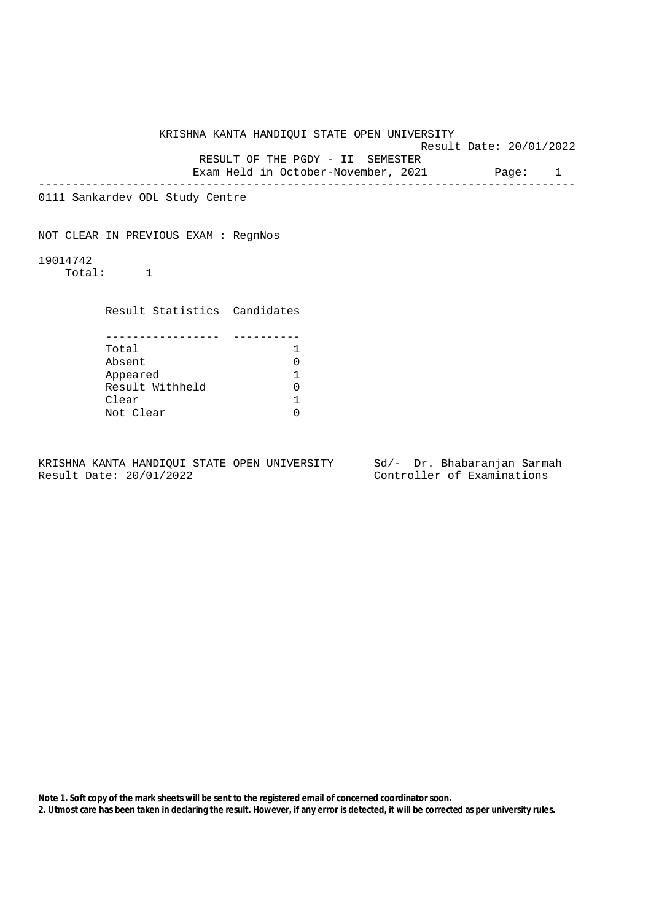KRISHNA KANTA HANDIQUI STATE OPEN UNIVERSITY Result Date: 20/01/2022 RESULT OF THE PGDY - II SEMESTER Exam Held in October-November, 2021 Page: 1 -------------------------------------------------------------------------------- 0111 Sankardev ODL Study Centre NOT CLEAR IN PREVIOUS EXAM : RegnNos 19014742 Total: 1 Result Statistics Candidates ----------------- ---------- Total 1 Absent 0 Appeared 1 Result Withheld 0 Clear 1<br>Not Clear 1 Not Clear

KRISHNA KANTA HANDIQUI STATE OPEN UNIVERSITY Sd/- Dr. Bhabaranjan Sarmah Result Date: 20/01/2022 Controller of Examinations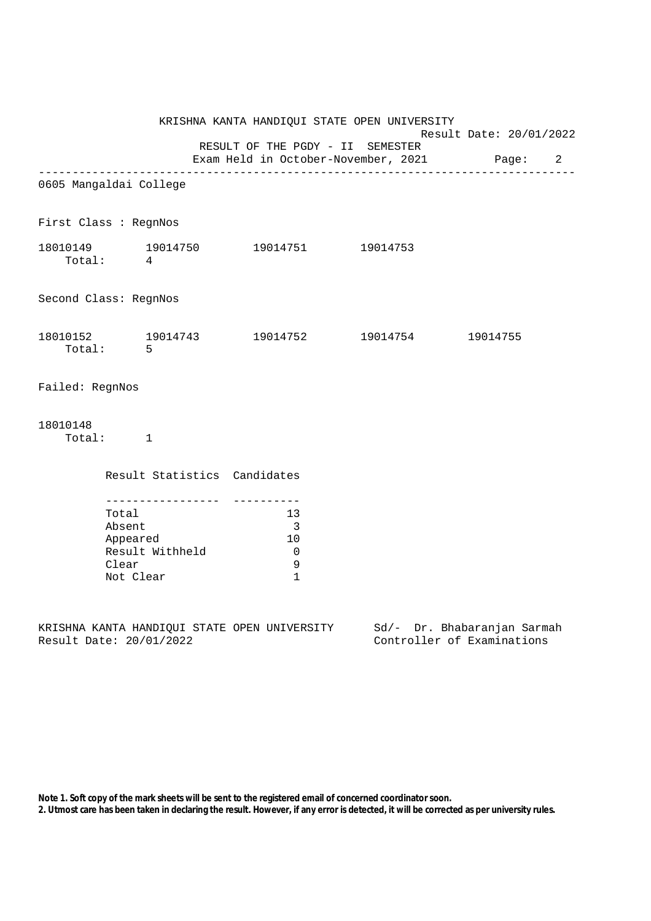| KRISHNA KANTA HANDIQUI STATE OPEN UNIVERSITY<br>Result Date: 20/01/2022 |                                                   |                                         |                              |                                                                                 |  |  |                                                           |  |  |
|-------------------------------------------------------------------------|---------------------------------------------------|-----------------------------------------|------------------------------|---------------------------------------------------------------------------------|--|--|-----------------------------------------------------------|--|--|
|                                                                         |                                                   |                                         |                              | RESULT OF THE PGDY - II SEMESTER<br>Exam Held in October-November, 2021 Page: 2 |  |  |                                                           |  |  |
| 0605 Mangaldai College                                                  |                                                   |                                         |                              |                                                                                 |  |  |                                                           |  |  |
| First Class : RegnNos                                                   |                                                   |                                         |                              |                                                                                 |  |  |                                                           |  |  |
| Total: 4                                                                |                                                   |                                         |                              | 18010149    19014750    19014751    19014753                                    |  |  |                                                           |  |  |
| Second Class: RegnNos                                                   |                                                   |                                         |                              |                                                                                 |  |  |                                                           |  |  |
|                                                                         | Total: 5                                          |                                         |                              | $18010152$ $19014743$ $19014752$ $19014754$ $19014755$                          |  |  |                                                           |  |  |
| Failed: RegnNos                                                         |                                                   |                                         |                              |                                                                                 |  |  |                                                           |  |  |
| 18010148                                                                | $\texttt{Total}: \qquad \qquad 1$                 |                                         |                              |                                                                                 |  |  |                                                           |  |  |
|                                                                         |                                                   |                                         | Result Statistics Candidates |                                                                                 |  |  |                                                           |  |  |
|                                                                         | Total<br>Absent<br>Appeared<br>Clear<br>Not Clear | ____________________<br>Result Withheld |                              | 13<br>$\overline{\phantom{a}}$<br>10<br>$\overline{0}$<br>9<br>$\mathbf{1}$     |  |  |                                                           |  |  |
| Result Date: 20/01/2022                                                 |                                                   |                                         |                              | KRISHNA KANTA HANDIQUI STATE OPEN UNIVERSITY                                    |  |  | Sd/- Dr. Bhabaranjan Sarmah<br>Controller of Examinations |  |  |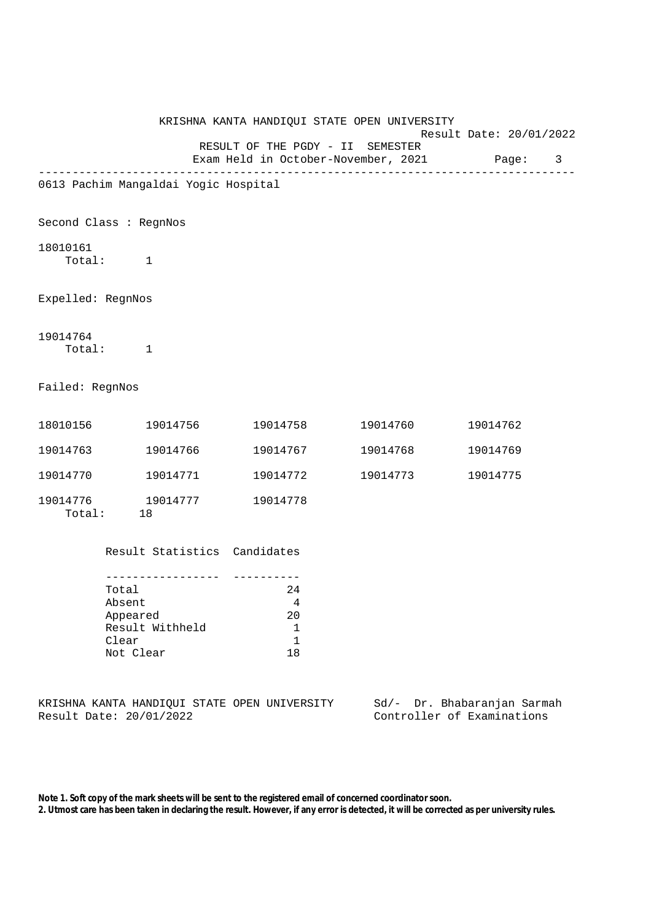|                                      |                                                   |                                  | KRISHNA KANTA HANDIQUI STATE OPEN UNIVERSITY                                  |          | Result Date: 20/01/2022 |          |   |
|--------------------------------------|---------------------------------------------------|----------------------------------|-------------------------------------------------------------------------------|----------|-------------------------|----------|---|
|                                      |                                                   |                                  | RESULT OF THE PGDY - II SEMESTER<br>Exam Held in October-November, 2021 Page: |          |                         |          | 3 |
| 0613 Pachim Mangaldai Yogic Hospital |                                                   |                                  |                                                                               |          |                         |          |   |
| Second Class : RegnNos               |                                                   |                                  |                                                                               |          |                         |          |   |
| 18010161                             | Total: 1                                          |                                  |                                                                               |          |                         |          |   |
| Expelled: RegnNos                    |                                                   |                                  |                                                                               |          |                         |          |   |
| 19014764                             | Total: 1                                          |                                  |                                                                               |          |                         |          |   |
| Failed: RegnNos                      |                                                   |                                  |                                                                               |          |                         |          |   |
| 18010156 19014756                    |                                                   |                                  | 19014758                                                                      | 19014760 |                         | 19014762 |   |
| 19014763 19014766                    |                                                   |                                  | 19014767                                                                      | 19014768 |                         | 19014769 |   |
| 19014770 19014771                    |                                                   |                                  | 19014772                                                                      | 19014773 |                         | 19014775 |   |
|                                      | Total: 18                                         |                                  | 19014778                                                                      |          |                         |          |   |
|                                      |                                                   |                                  | Result Statistics Candidates                                                  |          |                         |          |   |
|                                      | Total<br>Absent<br>Appeared<br>Clear<br>Not Clear | -------------<br>Result Withheld | 24<br>$\overline{4}$<br>20<br>$\mathbf 1$<br>$\mathbf 1$<br>18                |          |                         |          |   |

KRISHNA KANTA HANDIQUI STATE OPEN UNIVERSITY Sd/- Dr. Bhabaranjan Sarmah<br>Result Date: 20/01/2022 Controller of Examinations Controller of Examinations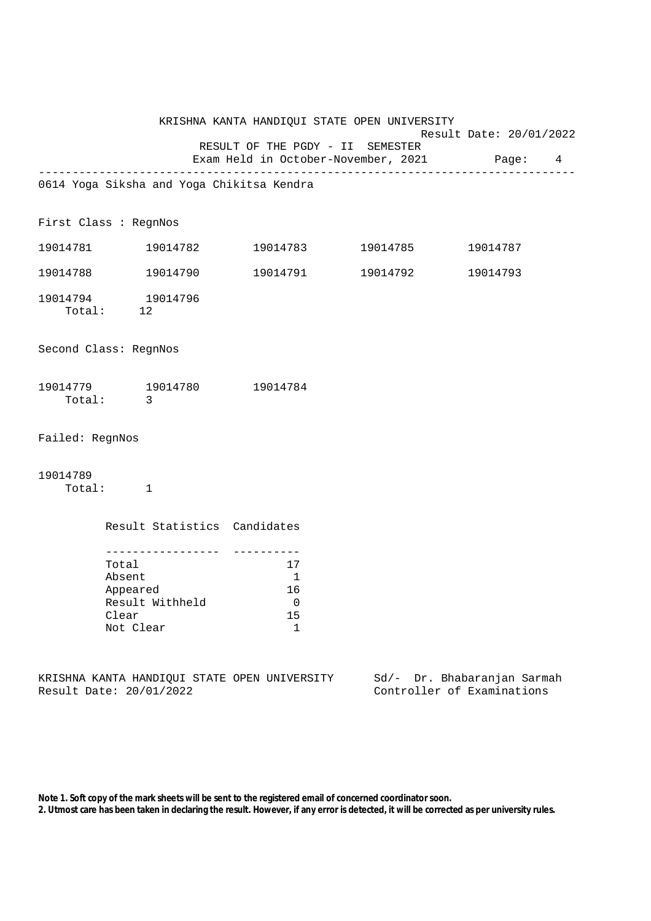|                 | KRISHNA KANTA HANDIQUI STATE OPEN UNIVERSITY<br>Result Date: 20/01/2022 |                                                                                             |                                             |          |  |
|-----------------|-------------------------------------------------------------------------|---------------------------------------------------------------------------------------------|---------------------------------------------|----------|--|
|                 |                                                                         | RESULT OF THE PGDY - II SEMESTER                                                            | Exam Held in October-November, 2021 Page: 4 |          |  |
|                 | 0614 Yoga Siksha and Yoga Chikitsa Kendra                               |                                                                                             |                                             |          |  |
|                 | First Class : RegnNos                                                   |                                                                                             |                                             |          |  |
|                 | 19014781 19014782                                                       |                                                                                             | 19014783 19014785                           | 19014787 |  |
|                 | 19014788 19014790                                                       |                                                                                             | 19014791 19014792                           | 19014793 |  |
|                 | 19014794 19014796<br>Total: 12                                          |                                                                                             |                                             |          |  |
|                 | Second Class: RegnNos                                                   |                                                                                             |                                             |          |  |
|                 | 19014779 19014780<br>Total: 3                                           | 19014784                                                                                    |                                             |          |  |
| Failed: RegnNos |                                                                         |                                                                                             |                                             |          |  |
| 19014789        | Total: 1                                                                |                                                                                             |                                             |          |  |
|                 | Result Statistics Candidates                                            |                                                                                             |                                             |          |  |
|                 | Total<br>Absent<br>Appeared<br>Result Withheld<br>Clear<br>Not Clear    | -----------<br>17<br>$\overline{1}$<br>16<br>$\overline{\phantom{0}}$<br>15<br>$\mathbf{1}$ |                                             |          |  |

KRISHNA KANTA HANDIQUI STATE OPEN UNIVERSITY Sd/- Dr. Bhabaranjan Sarmah<br>Result Date: 20/01/2022 Controller of Examinations

Controller of Examinations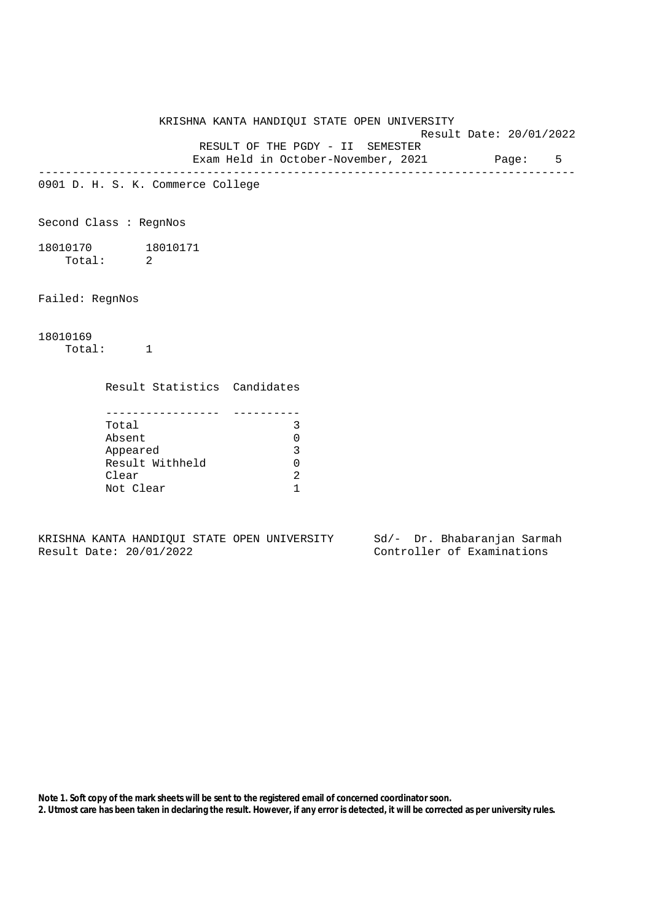KRISHNA KANTA HANDIQUI STATE OPEN UNIVERSITY Result Date: 20/01/2022 RESULT OF THE PGDY - II SEMESTER Exam Held in October-November, 2021 Page: 5 -------------------------------------------------------------------------------- 0901 D. H. S. K. Commerce College Second Class : RegnNos 18010170 18010171 Total: 2 Failed: RegnNos 18010169 Total: 1 Result Statistics Candidates ----------------- ---------- Total 3 Absent 0 Appeared 3 Result Withheld 0 Clear 2 Not Clear 1

KRISHNA KANTA HANDIQUI STATE OPEN UNIVERSITY Sd/- Dr. Bhabaranjan Sarmah Result Date: 20/01/2022 Controller of Examinations

**Note 1. Soft copy of the mark sheets will be sent to the registered email of concerned coordinator soon.**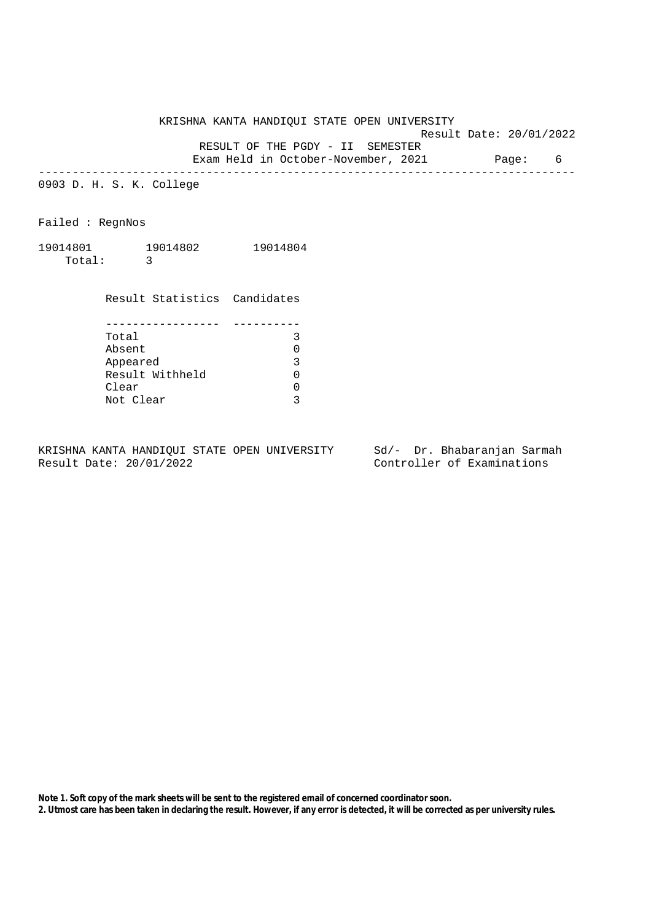KRISHNA KANTA HANDIQUI STATE OPEN UNIVERSITY

Result Date: 20/01/2022

RESULT OF THE PGDY - II SEMESTER

Exam Held in October-November, 2021 Page: 6 --------------------------------------------------------------------------------

0903 D. H. S. K. College

Failed : RegnNos

19014801 19014802 19014804 Total: 3

|                 | Result Statistics Candidates |
|-----------------|------------------------------|
|                 |                              |
|                 |                              |
| Total           |                              |
| Absent          |                              |
| Appeared        | 3                            |
| Result Withheld |                              |
| Clear           |                              |
| Not Clear       |                              |

KRISHNA KANTA HANDIQUI STATE OPEN UNIVERSITY Sd/- Dr. Bhabaranjan Sarmah<br>Result Date: 20/01/2022 Controller of Examinations

Controller of Examinations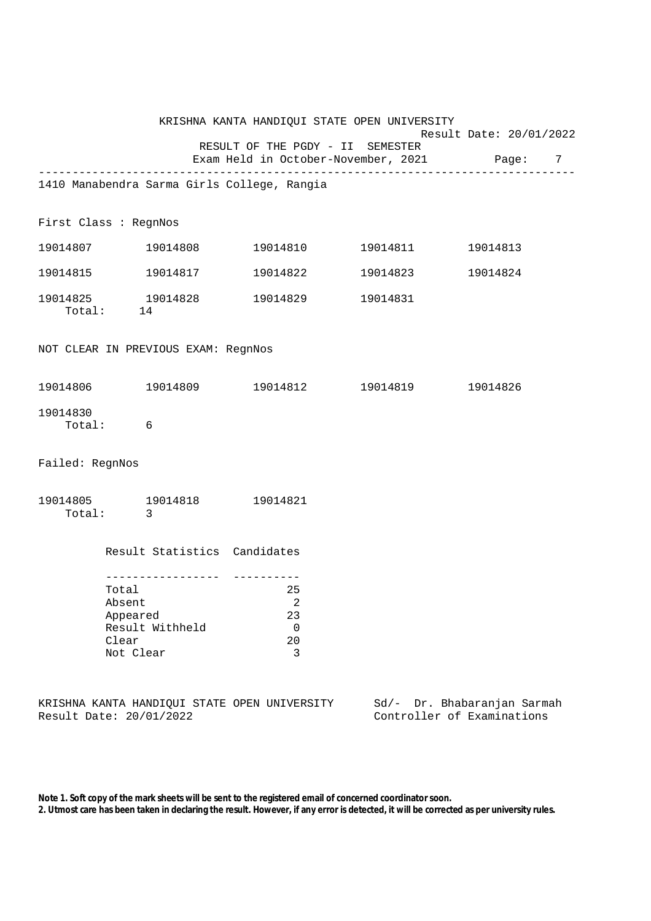|                                     |                                                                      |                         | KRISHNA KANTA HANDIQUI STATE OPEN UNIVERSITY                                    |                      |                                                           |                         |  |
|-------------------------------------|----------------------------------------------------------------------|-------------------------|---------------------------------------------------------------------------------|----------------------|-----------------------------------------------------------|-------------------------|--|
|                                     |                                                                      |                         | RESULT OF THE PGDY - II SEMESTER<br>Exam Held in October-November, 2021 Page: 7 |                      |                                                           | Result Date: 20/01/2022 |  |
|                                     |                                                                      |                         | 1410 Manabendra Sarma Girls College, Rangia                                     |                      |                                                           |                         |  |
| First Class : RegnNos               |                                                                      |                         |                                                                                 |                      |                                                           |                         |  |
|                                     |                                                                      |                         |                                                                                 | 19014810    19014811 |                                                           | 19014813                |  |
|                                     |                                                                      |                         |                                                                                 | 19014822 19014823    |                                                           | 19014824                |  |
| 19014825 19014828                   | Total: 14                                                            |                         |                                                                                 | 19014829 19014831    |                                                           |                         |  |
| NOT CLEAR IN PREVIOUS EXAM: RegnNos |                                                                      |                         |                                                                                 |                      |                                                           |                         |  |
|                                     |                                                                      |                         | 19014806 19014809 19014812 19014819 19014826                                    |                      |                                                           |                         |  |
| 19014830                            | Total: 6                                                             |                         |                                                                                 |                      |                                                           |                         |  |
| Failed: RegnNos                     |                                                                      |                         |                                                                                 |                      |                                                           |                         |  |
| Total:                              | $\overline{\phantom{a}}$                                             |                         | 19014805 19014818 19014821                                                      |                      |                                                           |                         |  |
|                                     |                                                                      |                         | Result Statistics Candidates                                                    |                      |                                                           |                         |  |
|                                     | Total<br>Absent<br>Appeared<br>Result Withheld<br>Clear<br>Not Clear | . _ _ _ _ _ _ _ _ _ _ _ | 25<br>2<br>23<br>0<br>20<br>3                                                   |                      |                                                           |                         |  |
| Result Date: 20/01/2022             |                                                                      |                         | KRISHNA KANTA HANDIQUI STATE OPEN UNIVERSITY                                    |                      | Sd/- Dr. Bhabaranjan Sarmah<br>Controller of Examinations |                         |  |

**Note 1. Soft copy of the mark sheets will be sent to the registered email of concerned coordinator soon. 2. Utmost care has been taken in declaring the result. However, if any error is detected, it will be corrected as per university rules.**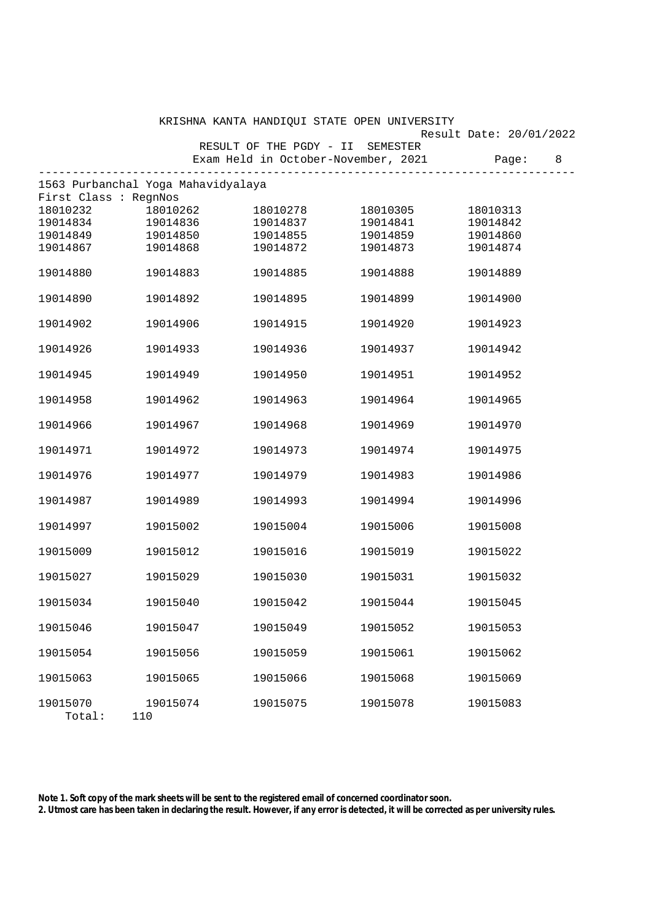|                                    |          |                                  | KRISHNA KANTA HANDIQUI STATE OPEN UNIVERSITY |                         |   |
|------------------------------------|----------|----------------------------------|----------------------------------------------|-------------------------|---|
|                                    |          |                                  |                                              | Result Date: 20/01/2022 |   |
|                                    |          | RESULT OF THE PGDY - II SEMESTER |                                              |                         |   |
|                                    |          |                                  | Exam Held in October-November, 2021          | Page:                   | 8 |
| 1563 Purbanchal Yoga Mahavidyalaya |          | ---------------------            |                                              |                         |   |
| First Class : RegnNos              |          |                                  |                                              |                         |   |
| 18010232                           | 18010262 | 18010278                         | 18010305                                     | 18010313                |   |
| 19014834                           | 19014836 | 19014837                         | 19014841                                     | 19014842                |   |
| 19014849                           | 19014850 | 19014855                         | 19014859                                     | 19014860                |   |
| 19014867                           | 19014868 | 19014872                         | 19014873                                     | 19014874                |   |
|                                    |          |                                  |                                              |                         |   |
| 19014880                           | 19014883 | 19014885                         | 19014888                                     | 19014889                |   |
| 19014890                           | 19014892 | 19014895                         | 19014899                                     | 19014900                |   |
|                                    |          |                                  |                                              |                         |   |
| 19014902                           | 19014906 | 19014915                         | 19014920                                     | 19014923                |   |
| 19014926                           | 19014933 | 19014936                         | 19014937                                     | 19014942                |   |
|                                    |          |                                  |                                              |                         |   |
| 19014945                           | 19014949 | 19014950                         | 19014951                                     | 19014952                |   |
|                                    |          |                                  |                                              |                         |   |
| 19014958                           | 19014962 | 19014963                         | 19014964                                     | 19014965                |   |
| 19014966                           | 19014967 | 19014968                         | 19014969                                     | 19014970                |   |
|                                    |          |                                  |                                              |                         |   |
| 19014971                           | 19014972 | 19014973                         | 19014974                                     | 19014975                |   |
| 19014976                           | 19014977 | 19014979                         | 19014983                                     | 19014986                |   |
|                                    |          |                                  |                                              |                         |   |
| 19014987                           | 19014989 | 19014993                         | 19014994                                     | 19014996                |   |
|                                    |          |                                  |                                              |                         |   |
| 19014997                           | 19015002 | 19015004                         | 19015006                                     | 19015008                |   |
| 19015009                           | 19015012 | 19015016                         | 19015019                                     | 19015022                |   |
|                                    |          |                                  |                                              |                         |   |
| 19015027                           | 19015029 | 19015030                         | 19015031                                     | 19015032                |   |
|                                    |          |                                  |                                              |                         |   |
| 19015034                           | 19015040 | 19015042                         | 19015044                                     | 19015045                |   |
| 19015046                           | 19015047 | 19015049                         | 19015052                                     | 19015053                |   |
|                                    |          |                                  |                                              |                         |   |
| 19015054                           | 19015056 | 19015059                         | 19015061                                     | 19015062                |   |
| 19015063                           | 19015065 | 19015066                         | 19015068                                     | 19015069                |   |
|                                    |          |                                  |                                              |                         |   |
| 19015070                           | 19015074 | 19015075                         | 19015078                                     | 19015083                |   |
| Total:                             | 110      |                                  |                                              |                         |   |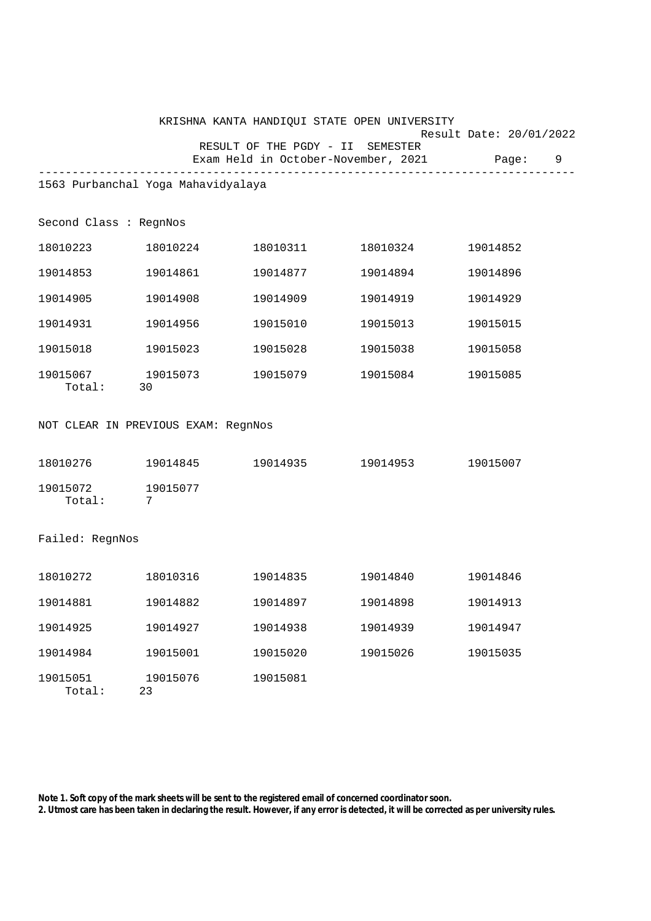|                                     |                |          | KRISHNA KANTA HANDIQUI STATE OPEN UNIVERSITY                                  |          |                              |
|-------------------------------------|----------------|----------|-------------------------------------------------------------------------------|----------|------------------------------|
|                                     |                |          | RESULT OF THE PGDY - II SEMESTER<br>Exam Held in October-November, 2021 Page: |          | Result Date: 20/01/2022<br>9 |
|                                     |                |          |                                                                               |          |                              |
| 1563 Purbanchal Yoga Mahavidyalaya  |                |          |                                                                               |          |                              |
| Second Class : RegnNos              |                |          |                                                                               |          |                              |
| 18010223 18010224                   |                |          |                                                                               |          | 19014852                     |
| 19014853 19014861                   |                |          | 19014877                                                                      | 19014894 | 19014896                     |
| 19014905                            |                | 19014908 | 19014909                                                                      | 19014919 | 19014929                     |
| 19014931                            | 19014956       |          | 19015010                                                                      | 19015013 | 19015015                     |
| 19015018 19015023                   |                |          | 19015028                                                                      | 19015038 | 19015058                     |
| 19015067 19015073<br>Total: 30      |                |          |                                                                               |          | 19015085                     |
| NOT CLEAR IN PREVIOUS EXAM: RegnNos |                |          |                                                                               |          |                              |
| 18010276    19014845                |                |          | 19014935 19014953 19015007                                                    |          |                              |
| 19015072 19015077<br>Total:         | 7              |          |                                                                               |          |                              |
| Failed: RegnNos                     |                |          |                                                                               |          |                              |
| 18010272 18010316                   |                |          | 19014835 19014840                                                             |          | 19014846                     |
| 19014881                            | 19014882       |          | 19014897                                                                      | 19014898 | 19014913                     |
| 19014925                            | 19014927       |          | 19014938                                                                      | 19014939 | 19014947                     |
| 19014984                            | 19015001       |          | 19015020                                                                      | 19015026 | 19015035                     |
| 19015051<br>Total:                  | 19015076<br>23 |          | 19015081                                                                      |          |                              |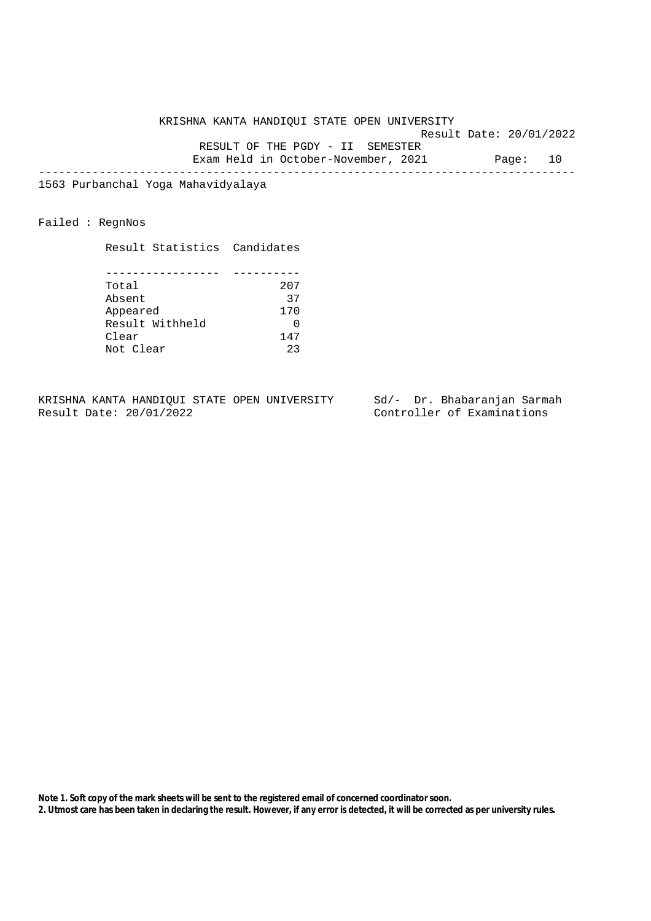KRISHNA KANTA HANDIQUI STATE OPEN UNIVERSITY Result Date: 20/01/2022 RESULT OF THE PGDY - II SEMESTER Exam Held in October-November, 2021 Page: 10 --------------------------------------------------------------------------------

1563 Purbanchal Yoga Mahavidyalaya

Failed : RegnNos

Result Statistics Candidates

| Total           | 207 |
|-----------------|-----|
| Absent          | 37  |
| Appeared        | 170 |
| Result Withheld |     |
| Clear           | 147 |
| Not Clear       | つつ  |

KRISHNA KANTA HANDIQUI STATE OPEN UNIVERSITY Sd/- Dr. Bhabaranjan Sarmah<br>Result Date: 20/01/2022 Controller of Examinations

Controller of Examinations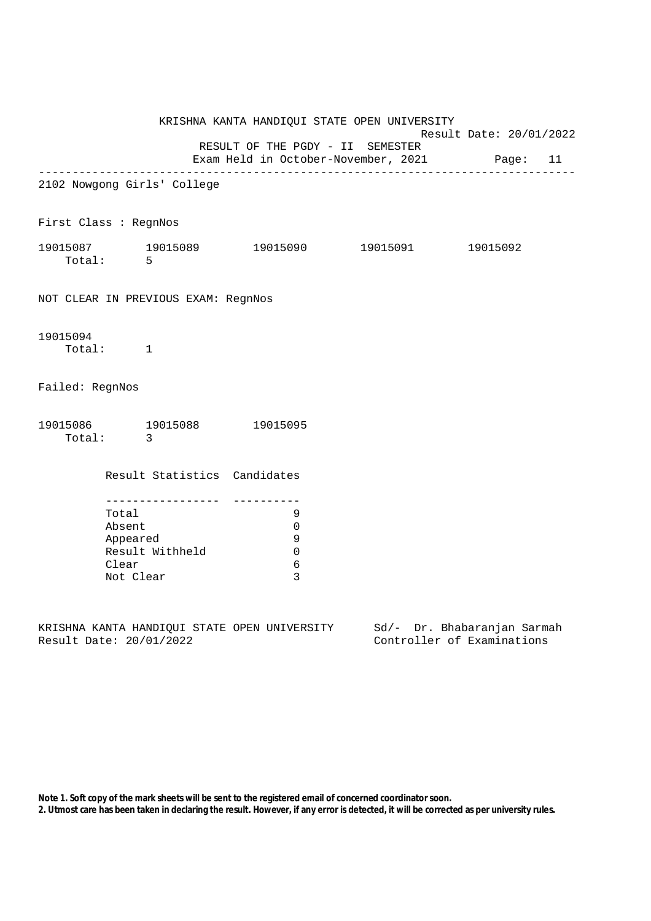|                                                                                                               |                                       |                                                   | KRISHNA KANTA HANDIQUI STATE OPEN UNIVERSITY         | Result Date: 20/01/2022 |  |  |
|---------------------------------------------------------------------------------------------------------------|---------------------------------------|---------------------------------------------------|------------------------------------------------------|-------------------------|--|--|
|                                                                                                               |                                       |                                                   | RESULT OF THE PGDY - II SEMESTER                     |                         |  |  |
|                                                                                                               |                                       |                                                   | Exam Held in October-November, 2021 Page: 11         |                         |  |  |
| 2102 Nowgong Girls' College                                                                                   |                                       |                                                   |                                                      |                         |  |  |
| First Class : RegnNos                                                                                         |                                       |                                                   |                                                      |                         |  |  |
| 19015087 19015089 19015090 19015091 19015092                                                                  | Total: 5                              |                                                   |                                                      |                         |  |  |
| NOT CLEAR IN PREVIOUS EXAM: RegnNos                                                                           |                                       |                                                   |                                                      |                         |  |  |
| 19015094                                                                                                      | Total: 1                              |                                                   |                                                      |                         |  |  |
| Failed: RegnNos                                                                                               |                                       |                                                   |                                                      |                         |  |  |
| 19015086 19015088 19015095                                                                                    | Total: 3                              |                                                   |                                                      |                         |  |  |
|                                                                                                               |                                       | Result Statistics Candidates                      |                                                      |                         |  |  |
|                                                                                                               | Total<br>Absent<br>Clear<br>Not Clear | __________________<br>Appeared<br>Result Withheld | 9<br>$\Omega$<br>9<br>$\mathbf 0$<br>$\epsilon$<br>3 |                         |  |  |
| Calculus Estimatulus Compromentum International Calculus Compromentum Compromentum Compromentum International |                                       |                                                   |                                                      |                         |  |  |

KRISHNA KANTA HANDIQUI STATE OPEN UNIVERSITY Sd/- Dr. Bhabaranjan Sarmah<br>Result Date: 20/01/2022 Controller of Examinations

Controller of Examinations

**Note 1. Soft copy of the mark sheets will be sent to the registered email of concerned coordinator soon.**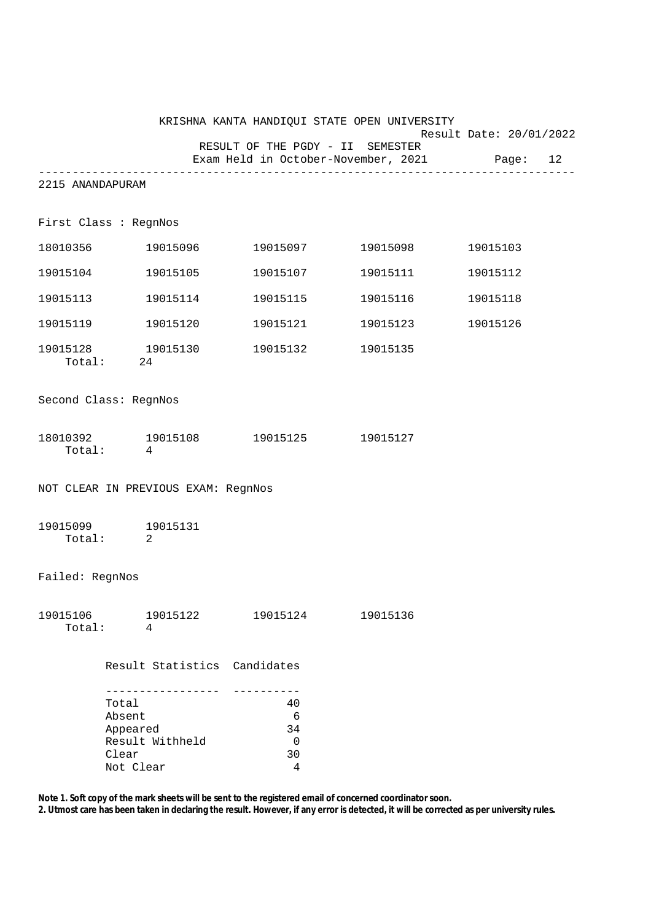|                                     |                                                   |                 |                                     |                                            | KRISHNA KANTA HANDIQUI STATE OPEN UNIVERSITY                            |          |  |
|-------------------------------------|---------------------------------------------------|-----------------|-------------------------------------|--------------------------------------------|-------------------------------------------------------------------------|----------|--|
|                                     |                                                   |                 | RESULT OF THE PGDY - II SEMESTER    |                                            | Result Date: 20/01/2022<br>Exam Held in October-November, 2021 Page: 12 |          |  |
| 2215 ANANDAPURAM                    |                                                   |                 |                                     |                                            |                                                                         |          |  |
| First Class : RegnNos               |                                                   |                 |                                     |                                            |                                                                         |          |  |
|                                     |                                                   |                 |                                     |                                            | 18010356 19015096 19015097 19015098                                     | 19015103 |  |
| 19015104                            |                                                   | 19015105        |                                     |                                            |                                                                         | 19015112 |  |
| 19015113                            |                                                   | 19015114        |                                     |                                            | 19015115    19015116                                                    | 19015118 |  |
|                                     |                                                   |                 |                                     |                                            |                                                                         | 19015126 |  |
|                                     | Total: 24                                         |                 |                                     |                                            |                                                                         |          |  |
| Second Class: RegnNos               |                                                   |                 |                                     |                                            |                                                                         |          |  |
|                                     | Total: 4                                          |                 | 18010392 19015108 19015125 19015127 |                                            |                                                                         |          |  |
| NOT CLEAR IN PREVIOUS EXAM: RegnNos |                                                   |                 |                                     |                                            |                                                                         |          |  |
| 19015099 19015131<br>Total: 2       |                                                   |                 |                                     |                                            |                                                                         |          |  |
| Failed: RegnNos                     |                                                   |                 |                                     |                                            |                                                                         |          |  |
| 19015106<br>Total:                  | 4                                                 | 19015122        |                                     | 19015124                                   | 19015136                                                                |          |  |
|                                     |                                                   |                 | Result Statistics Candidates        |                                            |                                                                         |          |  |
|                                     | Total<br>Absent<br>Appeared<br>Clear<br>Not Clear | Result Withheld |                                     | 40<br>6<br>34<br>$\overline{0}$<br>30<br>4 |                                                                         |          |  |